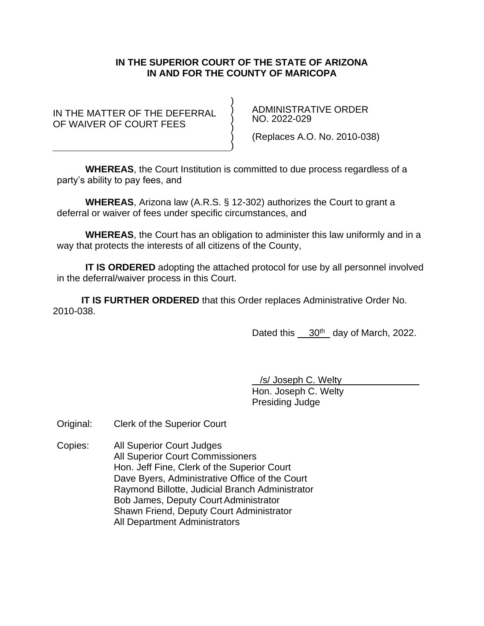## **IN THE SUPERIOR COURT OF THE STATE OF ARIZONA IN AND FOR THE COUNTY OF MARICOPA**

IN THE MATTER OF THE DEFERRAL OF WAIVER OF COURT FEES

 ADMINISTRATIVE ORDER NO. 2022-029

(Replaces A.O. No. 2010-038)

**WHEREAS**, the Court Institution is committed to due process regardless of a party's ability to pay fees, and

) ) ) ) ) )

**WHEREAS**, Arizona law (A.R.S. § 12-302) authorizes the Court to grant a deferral or waiver of fees under specific circumstances, and

**WHEREAS**, the Court has an obligation to administer this law uniformly and in a way that protects the interests of all citizens of the County,

**IT IS ORDERED** adopting the attached protocol for use by all personnel involved in the deferral/waiver process in this Court.

**IT IS FURTHER ORDERED** that this Order replaces Administrative Order No. 2010-038.

Dated this 30<sup>th</sup> day of March, 2022.

/s/ Joseph C. Welty

Hon. Joseph C. Welty Presiding Judge

Original: Clerk of the Superior Court

Copies: All Superior Court Judges All Superior Court Commissioners Hon. Jeff Fine, Clerk of the Superior Court Dave Byers, Administrative Office of the Court Raymond Billotte, Judicial Branch Administrator Bob James, Deputy Court Administrator Shawn Friend, Deputy Court Administrator All Department Administrators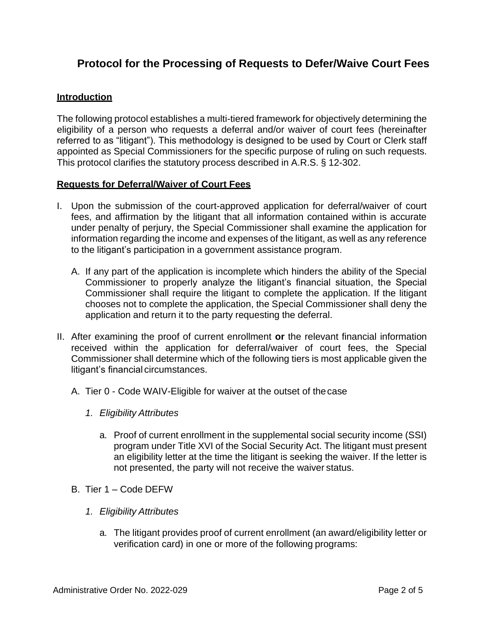# **Protocol for the Processing of Requests to Defer/Waive Court Fees**

# **Introduction**

The following protocol establishes a multi-tiered framework for objectively determining the eligibility of a person who requests a deferral and/or waiver of court fees (hereinafter referred to as "litigant"). This methodology is designed to be used by Court or Clerk staff appointed as Special Commissioners for the specific purpose of ruling on such requests. This protocol clarifies the statutory process described in A.R.S. § 12-302.

## **Requests for Deferral/Waiver of Court Fees**

- I. Upon the submission of the court-approved application for deferral/waiver of court fees, and affirmation by the litigant that all information contained within is accurate under penalty of perjury, the Special Commissioner shall examine the application for information regarding the income and expenses of the litigant, as well as any reference to the litigant's participation in a government assistance program.
	- A. If any part of the application is incomplete which hinders the ability of the Special Commissioner to properly analyze the litigant's financial situation, the Special Commissioner shall require the litigant to complete the application. If the litigant chooses not to complete the application, the Special Commissioner shall deny the application and return it to the party requesting the deferral.
- II. After examining the proof of current enrollment **or** the relevant financial information received within the application for deferral/waiver of court fees, the Special Commissioner shall determine which of the following tiers is most applicable given the litigant's financial circumstances.
	- A. Tier 0 Code WAIV-Eligible for waiver at the outset of thecase
		- *1. Eligibility Attributes*
			- a. Proof of current enrollment in the supplemental social security income (SSI) program under Title XVI of the Social Security Act. The litigant must present an eligibility letter at the time the litigant is seeking the waiver. If the letter is not presented, the party will not receive the waiver status.
	- B. Tier 1 Code DEFW
		- *1. Eligibility Attributes*
			- a. The litigant provides proof of current enrollment (an award/eligibility letter or verification card) in one or more of the following programs: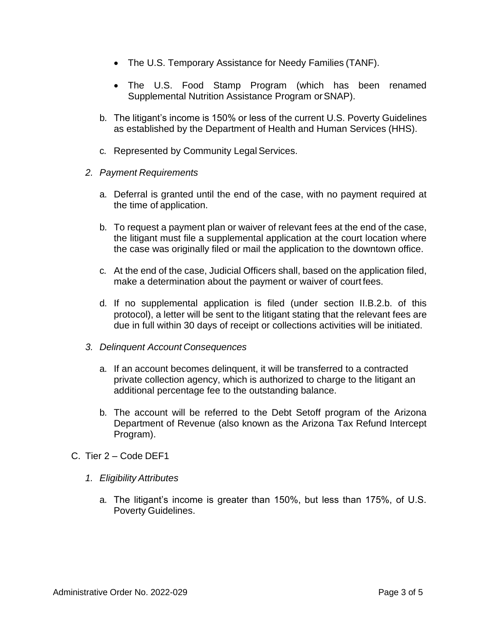- The U.S. Temporary Assistance for Needy Families (TANF).
- The U.S. Food Stamp Program (which has been renamed [Supplemental Nutrition Assistance Program](http://www.fns.usda.gov/fsp/snap.htm) orSNAP).
- b. The litigant's income is 150% or less of the current U.S. Poverty Guidelines as established by the Department of Health and Human Services (HHS).
- c. Represented by Community Legal Services.
- *2. Payment Requirements*
	- a. Deferral is granted until the end of the case, with no payment required at the time of application.
	- b. To request a payment plan or waiver of relevant fees at the end of the case, the litigant must file a supplemental application at the court location where the case was originally filed or mail the application to the downtown office.
	- c. At the end of the case, Judicial Officers shall, based on the application filed, make a determination about the payment or waiver of court fees.
	- d. If no supplemental application is filed (under section II.B.2.b. of this protocol), a letter will be sent to the litigant stating that the relevant fees are due in full within 30 days of receipt or collections activities will be initiated.
- *3. Delinquent Account Consequences*
	- a. If an account becomes delinquent, it will be transferred to a contracted private collection agency, which is authorized to charge to the litigant an additional percentage fee to the outstanding balance.
	- b. The account will be referred to the Debt Setoff program of the Arizona Department of Revenue (also known as the Arizona Tax Refund Intercept Program).
- C. Tier 2 Code DEF1
	- *1. Eligibility Attributes*
		- a. The litigant's income is greater than 150%, but less than 175%, of U.S. Poverty Guidelines.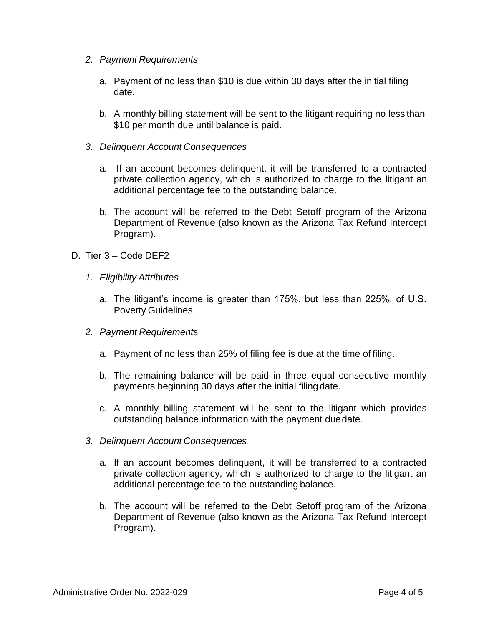- *2. Payment Requirements*
	- a. Payment of no less than \$10 is due within 30 days after the initial filing date.
	- b. A monthly billing statement will be sent to the litigant requiring no less than \$10 per month due until balance is paid.
- *3. Delinquent Account Consequences*
	- a. If an account becomes delinquent, it will be transferred to a contracted private collection agency, which is authorized to charge to the litigant an additional percentage fee to the outstanding balance.
	- b. The account will be referred to the Debt Setoff program of the Arizona Department of Revenue (also known as the Arizona Tax Refund Intercept Program).
- D. Tier 3 Code DEF2
	- *1. Eligibility Attributes*
		- a. The litigant's income is greater than 175%, but less than 225%, of U.S. Poverty Guidelines.
	- *2. Payment Requirements*
		- a. Payment of no less than 25% of filing fee is due at the time of filing.
		- b. The remaining balance will be paid in three equal consecutive monthly payments beginning 30 days after the initial filing date.
		- c. A monthly billing statement will be sent to the litigant which provides outstanding balance information with the payment duedate.
	- *3. Delinquent Account Consequences*
		- a. If an account becomes delinquent, it will be transferred to a contracted private collection agency, which is authorized to charge to the litigant an additional percentage fee to the outstanding balance.
		- b. The account will be referred to the Debt Setoff program of the Arizona Department of Revenue (also known as the Arizona Tax Refund Intercept Program).